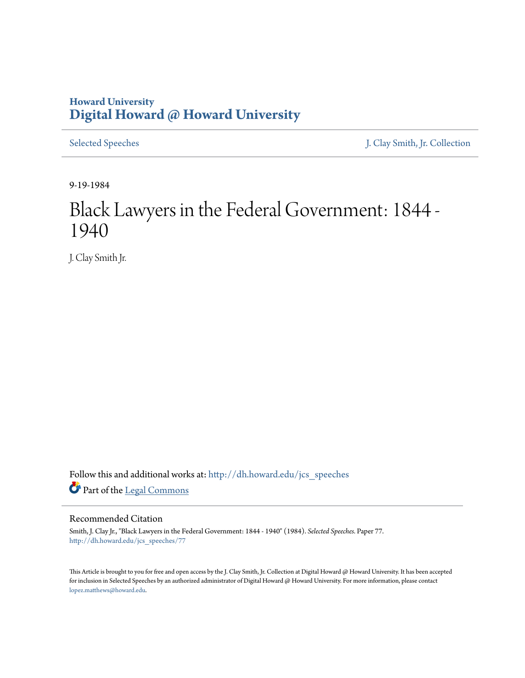## **Howard University [Digital Howard @ Howard University](http://dh.howard.edu?utm_source=dh.howard.edu%2Fjcs_speeches%2F77&utm_medium=PDF&utm_campaign=PDFCoverPages)**

[Selected Speeches](http://dh.howard.edu/jcs_speeches?utm_source=dh.howard.edu%2Fjcs_speeches%2F77&utm_medium=PDF&utm_campaign=PDFCoverPages) [J. Clay Smith, Jr. Collection](http://dh.howard.edu/jcsmith?utm_source=dh.howard.edu%2Fjcs_speeches%2F77&utm_medium=PDF&utm_campaign=PDFCoverPages)

9-19-1984

## Black Lawyers in the Federal Government: 1844 - 1940

J. Clay Smith Jr.

Follow this and additional works at: [http://dh.howard.edu/jcs\\_speeches](http://dh.howard.edu/jcs_speeches?utm_source=dh.howard.edu%2Fjcs_speeches%2F77&utm_medium=PDF&utm_campaign=PDFCoverPages) Part of the [Legal Commons](http://network.bepress.com/hgg/discipline/502?utm_source=dh.howard.edu%2Fjcs_speeches%2F77&utm_medium=PDF&utm_campaign=PDFCoverPages)

## Recommended Citation

Smith, J. Clay Jr., "Black Lawyers in the Federal Government: 1844 - 1940" (1984). *Selected Speeches.* Paper 77. [http://dh.howard.edu/jcs\\_speeches/77](http://dh.howard.edu/jcs_speeches/77?utm_source=dh.howard.edu%2Fjcs_speeches%2F77&utm_medium=PDF&utm_campaign=PDFCoverPages)

This Article is brought to you for free and open access by the J. Clay Smith, Jr. Collection at Digital Howard @ Howard University. It has been accepted for inclusion in Selected Speeches by an authorized administrator of Digital Howard @ Howard University. For more information, please contact [lopez.matthews@howard.edu.](mailto:lopez.matthews@howard.edu)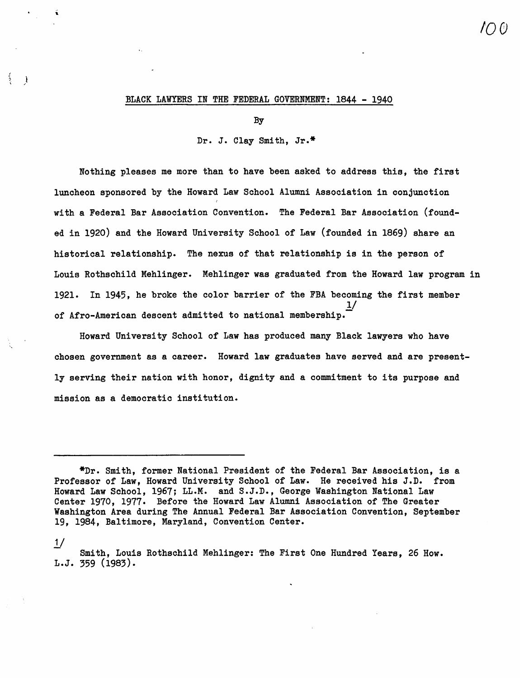## BLACK LAWYERS IN THE FEDERAL GOVERNMENT: 1844 - 1940

)

By

Dr. J. Clay Smith, Jr.\*

Nothing pleases me more than to have been asked to address this, the first luncheon sponsored by the Howard Law School Alumni Association in conjunction with a Federal Bar Association Convention. The Federal Bar Association (founded in 1920) and the Howard University School of Law (founded in 1869) share an historical relationship. The nexus of that relationship is in the person of Louis Rothschild Mehlinger. Mehlinger was graduated from the Howard law program in 1921. In 1945, he broke the color barrier of the FBA becoming the first member  $\underline{\mathbf{1}}$ / of Afro-American descent admitted to national membership.-

Howard University School of Law has produced many Black lawyers who have chosen government as a career. Howard law graduates have served and are presently serving their nation with honor, dignity and a commitment to its purpose and mission as a democratic institution.

 $\frac{1}{2}$ Smith, Louis Rothschild Mehlinger: The First One Hundred Years, 26 How. L.J. 359 (1983).

<sup>\*</sup>Dr. Smith, former National President of the Federal Bar Association, is a Professor of Law, Howard University School of Law. He received his J.D. from Howard Law School, 1967; LL.M. and S.J.D., George Washington National Law Center 1970, 1977. Before the Howard Law Alumni Association of The Greater Washington Area during The Annual Federal Bar Association Convention, September 19, 1984, Baltimore, Maryland, Convention Center.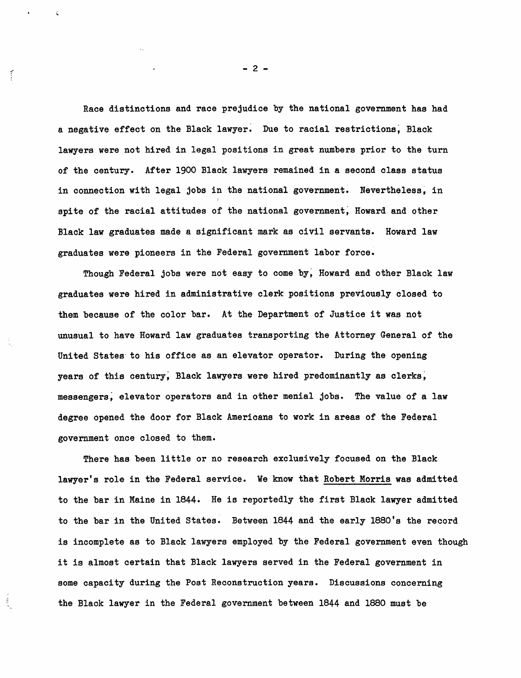Race distinctions and race prejudice by the national government has had a negative effect on the Black lawyer. Due to racial restrictions, Black lawyers were not hired in legal positions in great numbers prior to the turn of the century. After 1900 Black lawyers remained in a second class status in connection with legal jobs in the national government. Nevertheless, in spite of the racial attitudes of the national government, Howard and other Black law graduates made a significant mark as civil servants. Howard law graduates were pioneers in the Federal government labor force.

Though Federal jobs were not easy to come by, Howard and other Black law graduates were hired in administrative clerk positions previously closed to them because of the color bar. At the Department of Justice it was not unusual to have Howard law graduates transporting the Attorney General of the United states' to his office as an elevator operator. During the opening years of this century, Black lawyers were hired predominantly as clerks, messengers; elevator operators and in other menial jobs. The value of a law degree opened the door for Black Americans to work in areas of the Federal government once closed to them.

There has been little or no research exclusively focused on the Black lawyer's role in the Federal service. We know that Robert Morris was admitted to the bar in Maine in 1844. He is reportedly the first Black lawyer admitted to the bar in the United states. Between 1844 and the early l880's the record is incomplete as to Black lawyers employed by the Federal government even though it is almost certain that Black lawyers served in the Federal government in some capacity during the Post Reconstruction years. Discussions concerning the Black lawyer in the Federal government between 1844 and 1880 must be

 $- 2 -$ 

 $\widetilde{f}$ 

 $\mathcal{L}_{\mathcal{L}}$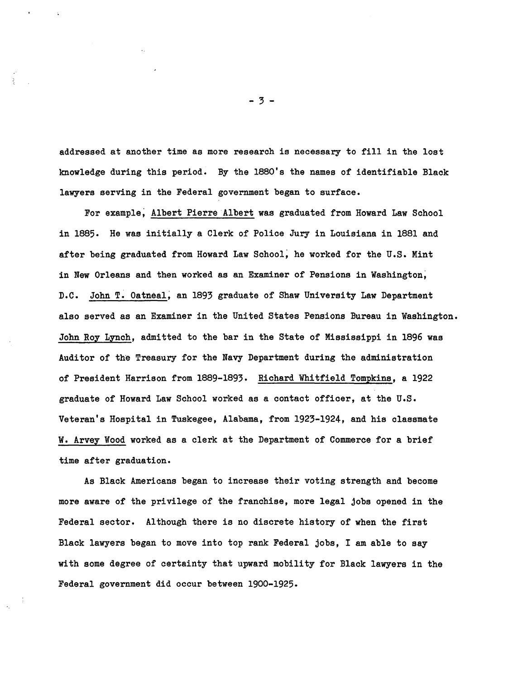addressed at another time as more research is necessary to fill in the lost knowledge during this period. By the 1880's the names of identifiable Blaok lawyers serving in the Federal government began to surface.

For example; Albert Pierre Albert was graduated from Howard Law Sohool in 1885. He was initially a Clerk of Police Jury in Louisiana in 1881 and after being graduated from Howard Law School, he worked for the U.S. Mint in New Orleans and then worked as an Examiner of Pensions in Washington; D.C. John T. Oatneal; an 1893 graduate of Shaw University Law Department also served as an Examiner in the United States Pensions Bureau in Washington. John Roy Lynoh, admitted to the bar in the State of Mississippi in 1896 was Auditor of the Treasury for the Navy Department during the administration of President Harrison from 1889-1893. Riohard Whitfield Tompkins, a 1922 graduate of Howard Law Sohoo1 worked as a oontaot offioer, at the U.S. Veteran's Hospital in Tuskegee, Alabama, from 1923-1924, and his olassmate W. Arvey Wood worked as a clerk at the Department of Commerce for a brief time after graduation.

As Blaok Amerioans began to inorease their voting strength and beoome more aware of the privilege of the franohise, more legal jobs opened in the Federal sector. Although there is no disorete history of when the first Blaok lawyers began to move into top rank Federal jobs, I am able to say with some degree of oertainty that upward mobility for Blaok lawyers in the Federal government did ooour between 1900-1925.

- 3 -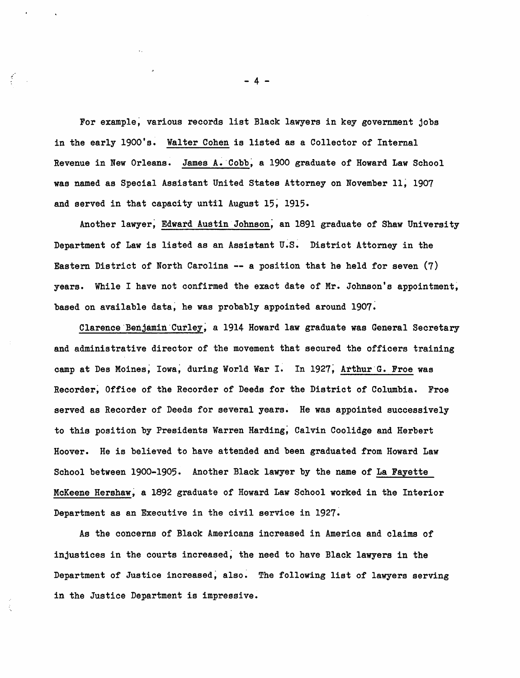For example; various records list Black lawyers in key government jobs in the early 1900's. Walter Cohen is listed as a Collector of Internal Revenue in New Orleans. James A. Cobb, a 1900 graduate of Howard Law School was named as Special Assistant United States Attorney on November 11; 1907 and served in that capacity until August 15; 1915.

Another lawyer; Edward Austin Johnson; an 1891 graduate of Shaw University Department of Law is listed as an Assistant U.S. District Attorney in the Eastern District of North Carolina -- a position that he held for seven (7) years. While I have not confirmed the exact date of Mr. Johnson's appointment, based on available data; he was probably appointed around 1907.

Clarence'Benjamin'Curley; a 1914 Howard law graduate was General Secretary and administrative director of the movement that secured the officers training camp at Des Moines, Iowa, during World War I. In 1927, Arthur G. Froe was Recorder; Office of the Recorder of Deeds for the District of Columbia. Froe served as Recorder of Deeds for several years. He was appointed successively to this position by Presidents Warren Harding; Calvin Coolidge and Herbert Hoover. He is believed to have attended and been graduated from Howard Law School between 1900-1905. Another Black lawyer by the name of La Fayette McKeene Hershaw; a 1892 graduate of Howard Law School worked in the Interior Department as an Executive in the civil service in 1927.

As the concerns of Black Americans increased in America and claims of injustices in the courts increased; the need to have Black lawyers in the Department of Justice increased; also. The following list of lawyers serving in the Justice Department is impressive.

- 4 -

Í.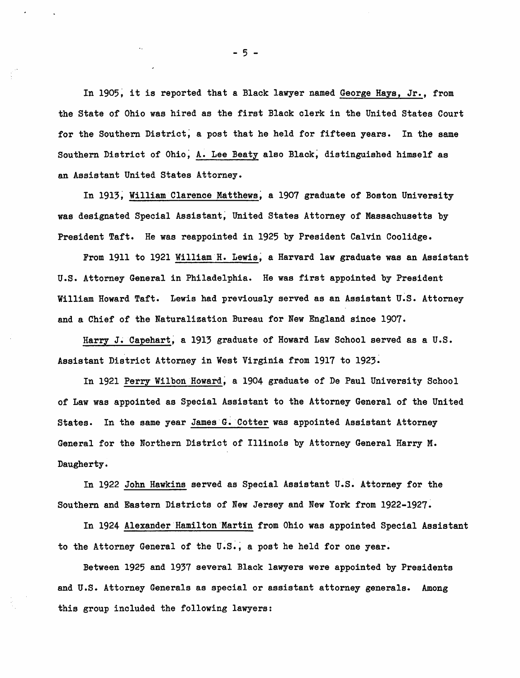In 1905, it is reported that a Black lawyer named George Hays, Jr., from the State of Ohio was hired as the first Black clerk in the United states Court for the Southern District; a post that he held for fifteen years. In the same Southern District of Ohio; A. Lee Beaty also Black; distinguished himself as an Assistant United states Attorney.

In 1913, William Clarence Matthews, a 1907 graduate of Boston University was designated Special Assistant; United States Attorney of Massachusetts by President Taft. He was reappointed in 1925 by President Calvin Coolidge.

From 1911 to 1921 William'H. Lewis; a Harvard law graduate was an Assistant U.S. Attorney General in Philadelphia. He was first appointed by President William Howard Taft. Lewis had previously served as an Assistant U.S. Attorney and a Chief of the Naturalization Bureau for New England since 1907.

Harry J. Capehart, a 1913 graduate of Howard Law School served as a U.S. Assistant District Attorney in West Virginia from 1917 to 1923.

In 1921 Perry Wilbon Howard; a 1904 graduate of De Paul University School of Law was appointed as Special Assistant to the Attorney General of the United States. In the same year James G. Cotter was appointed Assistant Attorney General for the Northern District of Illinois by Attorney General Harry M. Daugherty.

In 1922 John Hawkins served as Special Assistant U.S. Attorney for the Southern and Eastern Districts of New Jersey and New York from 1922-1927~

In 1924 Alexander Hamilton Martin from Ohio was appointed Special Assistant to the Attorney General of the U.S.; a post he held for one year.

Between 1925 and 1937 several Black lawyers were appointed by Presidents and U.S. Attorney Generals as special or assistant attorney generals. Among this group included the following lawyers:

- 5 -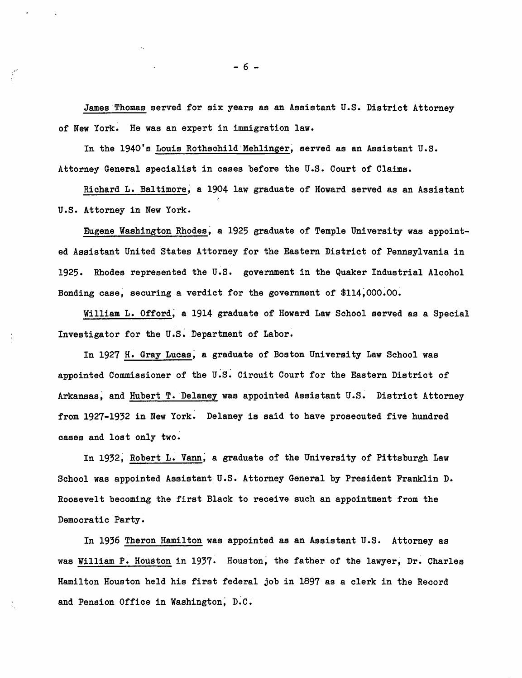James "Thomas served for six years as an Assistant U.S. District Attorney of New York. He was an expert in immigration law.

In the 1940's Louis Rothschild Mehlinger, served as an Assistant U.S. Attorney General speoialist in oases before the U.S. Court of Claims.

Riohard L. Baltimore; a 1904 law graduate of Howard served as an Assistant U.S. Attorney in New York.

Eugene Washington Rhodes; a 1925 graduate of Temple University was appointed Assistant United states Attorney for the Eastern Distriot of Pennsylvania in 1925. Rhodes represented the U.S. government in the Quaker Industrial Alcohol Bonding case, securing a verdict for the government of \$114,000.00.

William L. Offord, a 1914 graduate of Howard Law School served as a Special Investigator for the U.S. Department of Labor.

In 1927 H. Gray Luoas; a graduate of Boston University Law School was appointed Commissioner of the U.S. Cirouit Court for the Eastern Distriot of Arkansas, and Hubert T. Delaney was appointed Assistant U.S. District Attorney from 1927-1932 in New York. Delaney is said to have proseouted five hundred oases and lost only two.

In 1932; Robert L. Vann; a graduate of the University of Pittsburgh Law Sohoo1 was appointed Assistant U.S. Attorney General by President Franklin D. Roosevelt becoming the first Black to reoeive such an appointment from the Demooratio Party.

In 1936 Theron Hamilton was appointed as an Assistant U.S. Attorney as was WilliamP. Houston in 1937. Houston; the father of the lawyer; Dr. Charles Hamilton Houston held his first federal job in 1897 as a olerk in the Record and Pension Office in Washington; D.C.

 $- 6 -$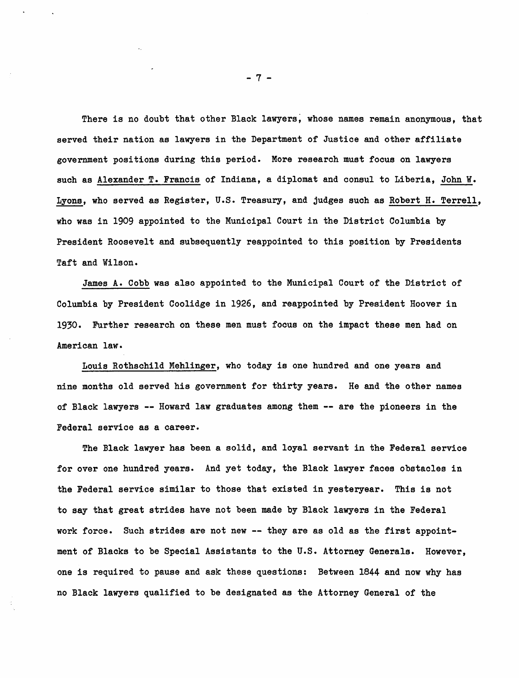There is no doubt that other Black lawyers, whose names remain anonymous, that served their nation as lawyers in the Department of Justice and other affiliate government positions during this period. More research must focus on lawyers such as Alexander T. Francis of Indiana, a diplomat and consul to Liberia, John w. Lyons, who served as Register, U.S. Treasury, and judges such as Robert H. Terrell, who was in 1909 appointed to the Municipal Court in the District Columbia by President Roosevelt and subsequently reappointed to this position by Presidents Taft and Wilson.

James A. Cobb was also appointed to the Municipal Court of the District of Columbia by President Coolidge in 1926, and reappointed by President Hoover in 1930. Further research on these men must focus on the impact these men had on American law.

Louis Rothschild Mehlinger, who today is one hundred and one years and nine months old served his government for thirty years. He and the other names of Black lawyers -- Howard law graduates among them -- are the pioneers in the Federal service as a career.

The Black lawyer has been a solid, and loyal servant in the Federal service for over one hundred years. And yet today, the Black lawyer faces obstacles in the Federal service similar to those that existed in yesteryear. This is not to say that great strides have not been made by Black lawyers in the Federal work force. Such strides are not new -- they are as old as the first appointment of Blacks to be Special Assistants to the U.S. Attorney Generals. However, one is required to pause and ask these questions: Between 1844 and now why has no Black lawyers qualified to be designated as the Attorney General of the

- 7 -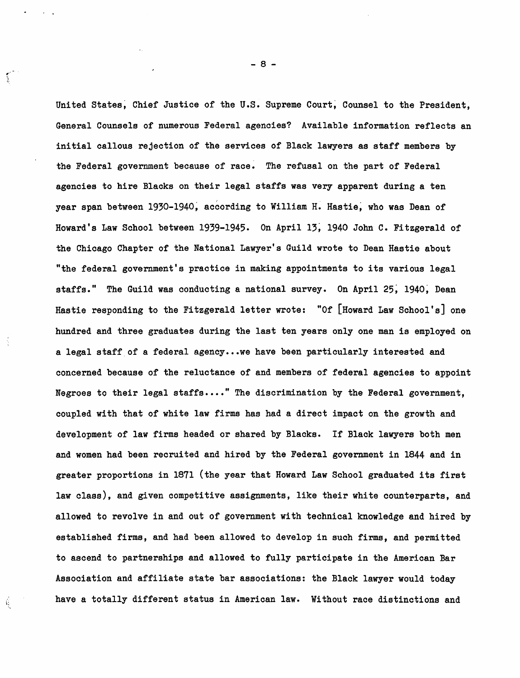United States, Chief Justice of the U.S. Supreme Court, Counsel to the President, General Counsels of numerous Federal agencies? Available information reflects an initial callous rejection of the services of Black lawyers as staff members by the Federal government because of race. The refusal on the part of Federal agencies to hire Blacks on their legal staffs was very apparent during a ten year span between 1930-1940, according to William H. Hastie, who was Dean of Howard's Law School between 1939-1945. On April 13; 1940 John C. Fitzgerald of the Chicago Chapter of the National Lawyer's Guild wrote to Dean Hastie about "the federal government's practice in making appointments to its various legal staffs." The Guild was conducting a national survey. On April 25, 1940, Dean Hastie responding to the Fitzgerald letter wrote: "Of [Howard Law School's] one hundred and three graduates during the last ten years only one man is employed on a legal staff of a federal agency ... we have been particularly interested and concerned because of the reluctance of and members of federal agencies to appoint Negroes to their legal staffs...." The discrimination by the Federal government, ooupled with that of white law firms has had a direot impaot on the growth and development of law firms headed or shared by Blaoks. If Blaok lawyers both men and women had been reoruited and hired by the Federal government in 1844 and in greater proportions in 1871 (the year that Howard Law School graduated its first law class), and given competitive assignments, like their white counterparts, and allowed to revolve in and out of government with teohnical knowledge and hired by established firms, and had been allowed to develop in suoh firms, and permitted to ascend to partnerships and allowed to fully participate in the Amerioan Bar Association and affiliate state bar assooiations: the Blaok lawyer would today have a totally different status in American law. Without race distinctions and

Ŕ

- 8 -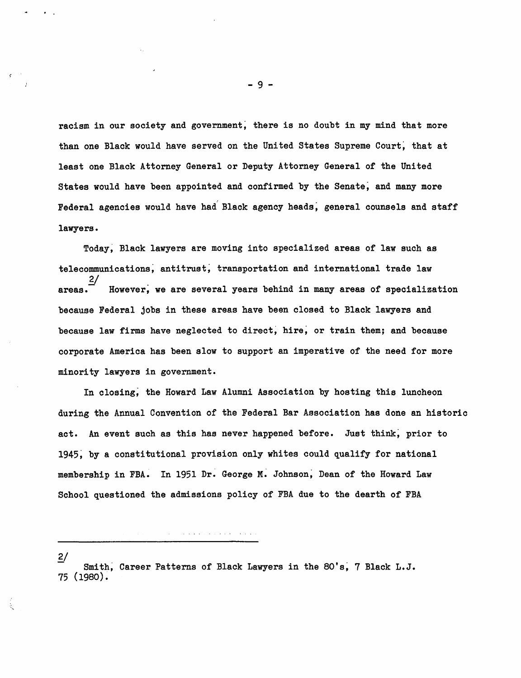racism in our society and government; there is no doubt in my mind that more than one Black would have served on the United States Supreme Court, that at least one Black Attorney General or Deputy Attorney General of the United States would have been appointed and confirmed by the Senate; and many more Federal agencies would have had Black agency heads; general counsels and staff lawyers.

Today, Black lawyers are moving into specialized areas of law such as telecommunications; antitrust; transportation and international trade law  $2/$ areas.<sup>"</sup> However, we are several years behind in many areas of specialization because Federal jobs in these areas have been closed to Black lawyers and because law firms have neglected to direct; hire; or train them; and because corporate America has been slow to support an imperative of the need for more minority lawyers in government.

In closing; the Howard Law Alumni Association by hosting this luncheon during the Annual Convention of the Federal Bar Association has done an historic act. An event such as this has never happened before. Just think; prior to 1945; by a constitutional provision only whites could qualify for national membership in FBA. In 1951 Dr. George M. Johnson, Dean of the Howard Law School questioned the admissions policy of FBA due to the dearth of FBA

 $2/$ 

Smith, Career Patterns of Black Lawyers in the 80's, 7 Black L.J. 75 (1980).

 $\alpha$  , and the second constraint of the second constraints  $\alpha$ 

- 9 -